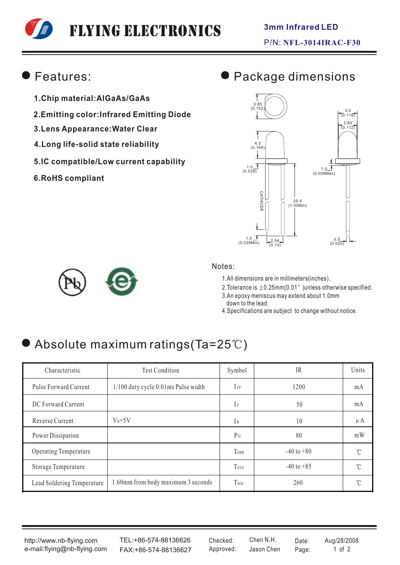# Flying Electronics

### Features:

- **1.Chip material:AlGaAs/GaAs**
- **2.Emitting color:Infrared Emitting Diode**
- **3.Lens Appearance:Water Clear**
- **4.Long life-solid state reliability**
- **5.IC compatible/Low current capability**
- **6.RoHS compliant**

# Package dimensions





#### Notes:

1.All dimensions are in millimeters(inches).

2. Tolerance is  $\pm$  0.25mm(0.01" )unless otherwise specified.

3.An epoxy meniscus may extend about 1.0mm down to the lead.

4.Specifications are subject to change without notice.

# $\bullet$  Absolute maximum ratings(Ta=25°C)

| Characteristic             | <b>Test Condition</b>                    | Symbol                  | IR             | Units        |
|----------------------------|------------------------------------------|-------------------------|----------------|--------------|
| Pulse Forward Current      | $1/100$ duty cycle $0.01$ ms Pulse width | $I_{FP}$                | 1200           | mA           |
| DC Forward Current         |                                          | $I_F$                   | 50             | mA           |
| Reverse Current            | $V_R = 5V$                               | IR                      | 10             | $\mu A$      |
| Power Dissipation          |                                          | $P_D$                   | 80             | mW           |
| Operating Temperature      |                                          | TOPR                    | $-40$ to $+80$ | °C           |
| Storage Temperature        |                                          | <b>T</b> <sub>STG</sub> | $-40$ to $+85$ | $^{\circ}$ C |
| Lead Soldering Temperature | 1.60mm from body maximum 3 seconds       | <b>Tsol</b>             | 260            | °C           |

http://www.nb-flying.com e-mail:flying@nb-flying.com

TEL:+86-574-88136626 FAX:+86-574-88136627 Approved: Jason Chen Page: 1 of 2

Jason Chen Checked: Chen N.H. Date: Aug/28/2008